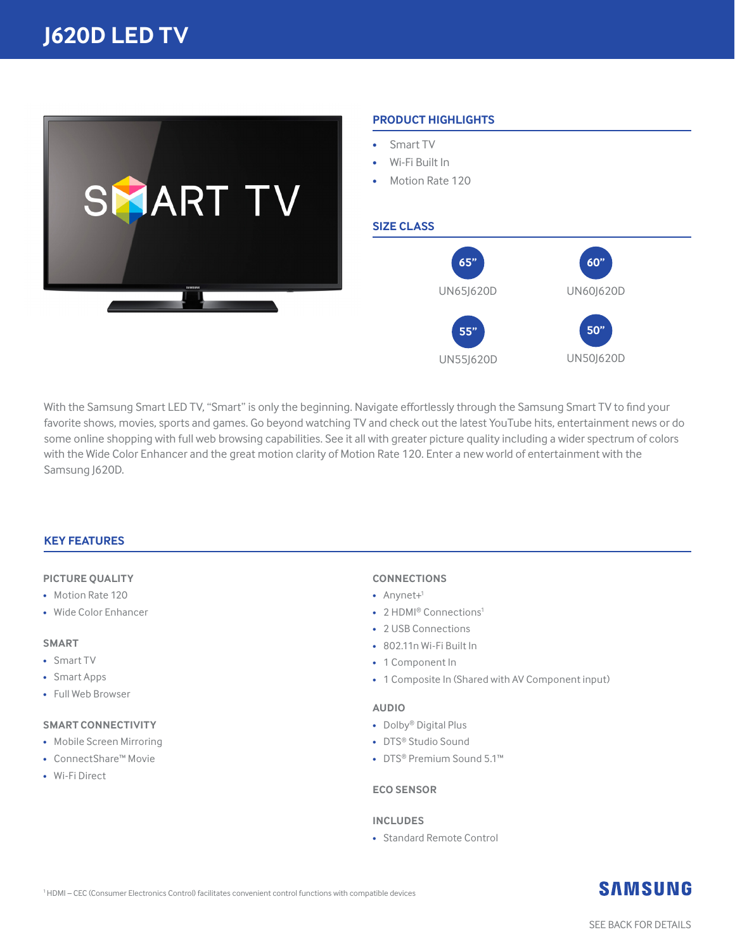

#### **PRODUCT HIGHLIGHTS**

- Smart TV
- Wi-Fi Built In
- Motion Rate 120

#### **SIZE CLASS**



**With the Samsung Smart LED TV, "Smart" is only the beginning. Navigate effortlessly through the Samsung Smart TV to find your**  favorite shows, movies, sports and games. Go beyond watching TV and check out the latest YouTube hits, entertainment news or do some online shopping with full web browsing capabilities. See it all with greater picture quality including a wider spectrum of colors with the Wide Color Enhancer and the great motion clarity of Motion Rate 120. Enter a new world of entertainment with the Samsung J620D.

#### **KEY FEATURES**

#### **PICTURE QUALITY**

- Motion Rate 120
- Wide Color Enhancer

#### **SMART**

- Smart TV
- Smart Apps
- Full Web Browser

#### **SMART CONNECTIVITY**

- Mobile Screen Mirroring
- ConnectShare™ Movie
- Wi-Fi Direct

#### **CONNECTIONS**

- $\bullet$  Anynet+<sup>1</sup>
- 2 HDMI® Connections<sup>1</sup>
- 2 USB Connections
- 802.11n Wi-Fi Built In
- 1 Component In
- 1 Composite In (Shared with AV Component input)

#### **AUDIO**

- Dolby® Digital Plus
- DTS® Studio Sound
- DTS® Premium Sound 5.1™

#### **ECO SENSOR**

#### **INCLUDES**

• Standard Remote Control

### **SAMSUNG**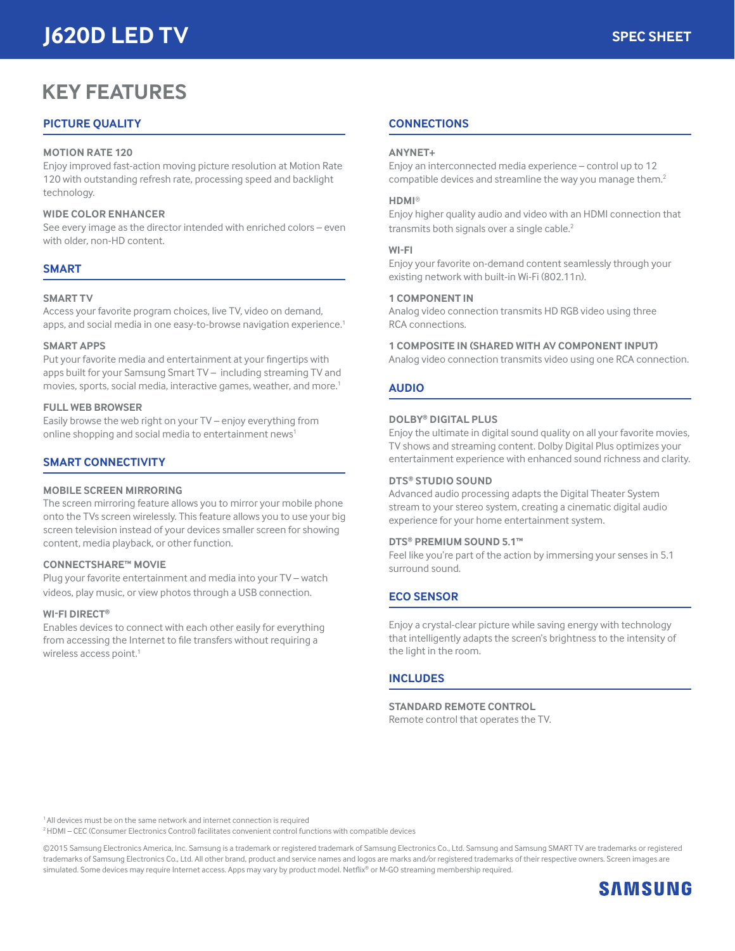# **J620D LED TV**

## **KEY FEATURES**

#### **PICTURE QUALITY**

#### **MOTION RATE 120**

Enjoy improved fast-action moving picture resolution at Motion Rate 120 with outstanding refresh rate, processing speed and backlight technology.

#### **WIDE COLOR ENHANCER**

See every image as the director intended with enriched colors – even with older, non-HD content.

#### **SMART**

#### **SMART TV**

Access your favorite program choices, live TV, video on demand, **apps, and social media in one easy-to-browse navigation experience.**<sup>1</sup>

#### **SMART APPS**

**Put your favorite media and entertainment at your fingertips with**  apps built for your Samsung Smart TV – including streaming TV and movies, sports, social media, interactive games, weather, and more.1

#### **FULL WEB BROWSER**

Easily browse the web right on your TV – enjoy everything from online shopping and social media to entertainment news<sup>1</sup>

#### **SMART CONNECTIVITY**

#### **MOBILE SCREEN MIRRORING**

The screen mirroring feature allows you to mirror your mobile phone onto the TVs screen wirelessly. This feature allows you to use your big screen television instead of your devices smaller screen for showing content, media playback, or other function.

#### **CONNECTSHARE™ MOVIE**

Plug your favorite entertainment and media into your TV – watch videos, play music, or view photos through a USB connection.

#### **WI-FI DIRECT®**

Enables devices to connect with each other easily for everything **from accessing the Internet to file transfers without requiring a**  wireless access point.<sup>1</sup>

#### **CONNECTIONS**

#### **ANYNET+**

**Enjoy an interconnected media experience – control up to 12**  compatible devices and streamline the way you manage them.<sup>2</sup>

#### **HDMI**®

Enjoy higher quality audio and video with an HDMI connection that transmits both signals over a single cable.<sup>2</sup>

#### **WI-FI**

Enjoy your favorite on-demand content seamlessly through your **existing network with built-in Wi-Fi (802.11n).**

#### **1 COMPONENT IN**

Analog video connection transmits HD RGB video using three RCA connections.

#### **1 COMPOSITE IN (SHARED WITH AV COMPONENT INPUT)**

Analog video connection transmits video using one RCA connection.

#### **AUDIO**

#### **DOLBY® DIGITAL PLUS**

Enjoy the ultimate in digital sound quality on all your favorite movies, TV shows and streaming content. Dolby Digital Plus optimizes your **entertainment experience with enhanced sound richness and clarity.**

#### **DTS® STUDIO SOUND**

Advanced audio processing adapts the Digital Theater System stream to your stereo system, creating a cinematic digital audio **experience for your home entertainment system.**

#### **DTS® PREMIUM SOUND 5.1™**

Feel like you're part of the action by immersing your senses in 5.1 surround sound.

#### **ECO SENSOR**

Enjoy a crystal-clear picture while saving energy with technology that intelligently adapts the screen's brightness to the intensity of the light in the room.

#### **INCLUDES**

**STANDARD REMOTE CONTROL** Remote control that operates the TV.

<sup>1</sup> All devices must be on the same network and internet connection is required

2 HDMI – CEC (Consumer Electronics Control) facilitates convenient control functions with compatible devices

©2015 Samsung Electronics America, Inc. Samsung is a trademark or registered trademark of Samsung Electronics Co., Ltd. Samsung and Samsung SMART TV are trademarks or registered trademarks of Samsung Electronics Co., Ltd. All other brand, product and service names and logos are marks and/or registered trademarks of their respective owners. Screen images are **simulated. Some devices may require Internet access. Apps may vary by product model. Netflix**® or M-GO streaming membership required.

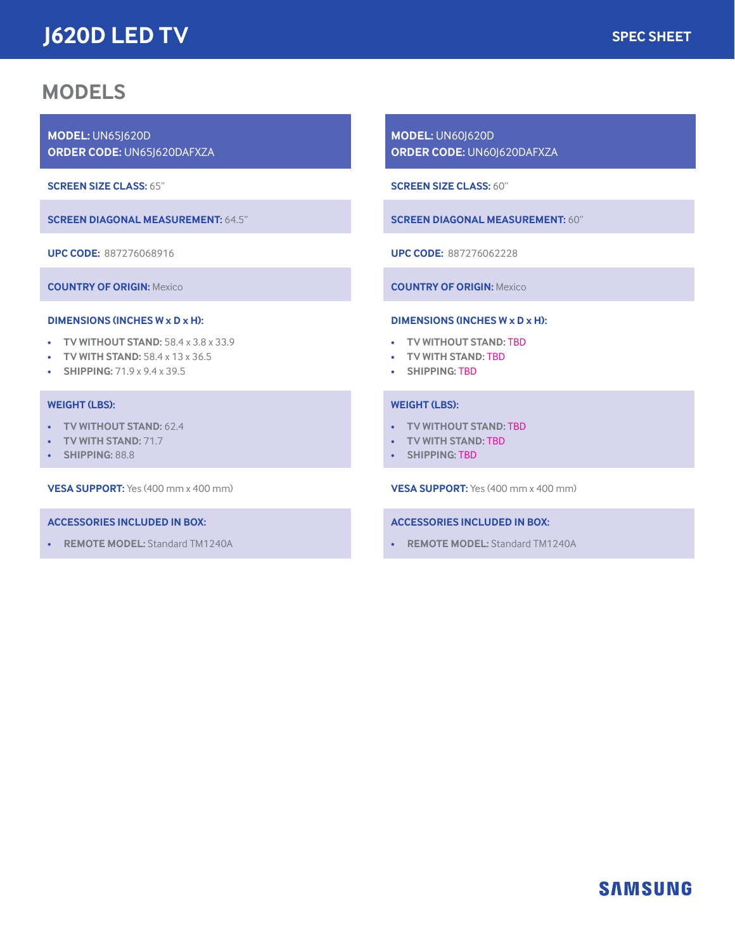# **J620D LED TV**

## **MODELS**

**MODEL:** UN65J620D **ORDER CODE:** UN65J620DAFXZA

**SCREEN SIZE CLASS:** 65"

**SCREEN DIAGONAL MEASUREMENT:** 64.5"

**UPC CODE:** 887276068916

**COUNTRY OF ORIGIN: Mexico**

#### **DIMENSIONS (INCHES W x D x H):**

- **TV WITHOUT STAND: 58.4 x 3.8 x 33.9**
- **TV WITH STAND: 58.4 x 13 x 36.5**
- **SHIPPING: 71.9 x 9.4 x 39.5**

#### **WEIGHT (LBS):**

- **TV WITHOUT STAND:** 62.4
- **TV WITH STAND:** 71.7
- **SHIPPING:** 88.8

**VESA SUPPORT: Yes (400 mm x 400 mm)**

#### **ACCESSORIES INCLUDED IN BOX:**

• **REMOTE MODEL:** Standard TM1240A

**MODEL:** UN60J620D **ORDER CODE:** UN60J620DAFXZA

**SCREEN SIZE CLASS:** 60"

**SCREEN DIAGONAL MEASUREMENT:** 60"

**UPC CODE:** 887276062228

**COUNTRY OF ORIGIN: Mexico**

#### **DIMENSIONS (INCHES W x D x H):**

- **TV WITHOUT STAND:** TBD
- **TV WITH STAND:** TBD
- **SHIPPING:** TBD

#### **WEIGHT (LBS):**

- **TV WITHOUT STAND:** TBD
- **TV WITH STAND:** TBD
- **SHIPPING:** TBD

**VESA SUPPORT: Yes (400 mm x 400 mm)**

#### **ACCESSORIES INCLUDED IN BOX:**

• **REMOTE MODEL:** Standard TM1240A

### **SAMSUNG**